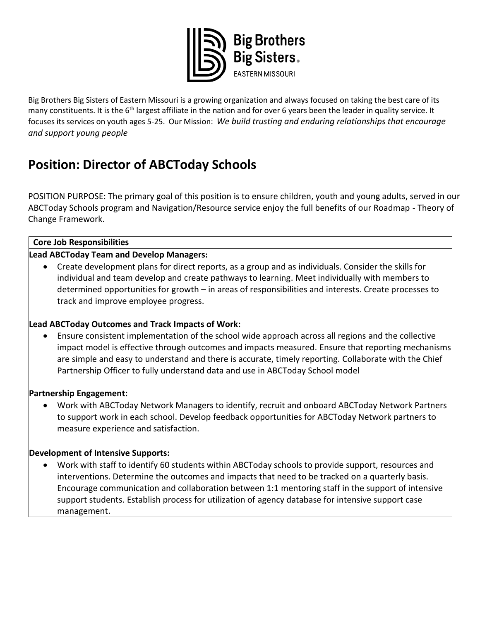

Big Brothers Big Sisters of Eastern Missouri is a growing organization and always focused on taking the best care of its many constituents. It is the 6<sup>th</sup> largest affiliate in the nation and for over 6 years been the leader in quality service. It focuses its services on youth ages 5-25. Our Mission: *We build trusting and enduring relationships that encourage and support young people*

# **Position: Director of ABCToday Schools**

POSITION PURPOSE: The primary goal of this position is to ensure children, youth and young adults, served in our ABCToday Schools program and Navigation/Resource service enjoy the full benefits of our Roadmap - Theory of Change Framework.

## **Core Job Responsibilities**

# **Lead ABCToday Team and Develop Managers:**

• Create development plans for direct reports, as a group and as individuals. Consider the skills for individual and team develop and create pathways to learning. Meet individually with members to determined opportunities for growth – in areas of responsibilities and interests. Create processes to track and improve employee progress.

# **Lead ABCToday Outcomes and Track Impacts of Work:**

• Ensure consistent implementation of the school wide approach across all regions and the collective impact model is effective through outcomes and impacts measured. Ensure that reporting mechanisms are simple and easy to understand and there is accurate, timely reporting. Collaborate with the Chief Partnership Officer to fully understand data and use in ABCToday School model

## **Partnership Engagement:**

• Work with ABCToday Network Managers to identify, recruit and onboard ABCToday Network Partners to support work in each school. Develop feedback opportunities for ABCToday Network partners to measure experience and satisfaction.

## **Development of Intensive Supports:**

• Work with staff to identify 60 students within ABCToday schools to provide support, resources and interventions. Determine the outcomes and impacts that need to be tracked on a quarterly basis. Encourage communication and collaboration between 1:1 mentoring staff in the support of intensive support students. Establish process for utilization of agency database for intensive support case management.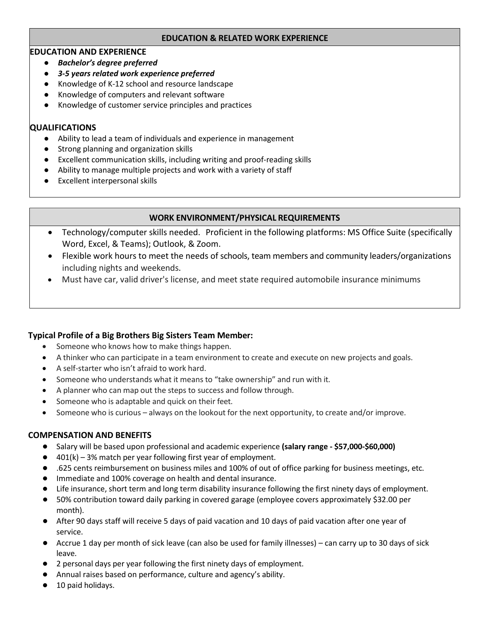#### **EDUCATION & RELATED WORK EXPERIENCE**

## **EDUCATION AND EXPERIENCE**

- *Bachelor's degree preferred*
- *3-5 years related work experience preferred*
- Knowledge of K-12 school and resource landscape
- Knowledge of computers and relevant software
- Knowledge of customer service principles and practices

# **QUALIFICATIONS**

- Ability to lead a team of individuals and experience in management
- Strong planning and organization skills
- Excellent communication skills, including writing and proof-reading skills
- Ability to manage multiple projects and work with a variety of staff
- Excellent interpersonal skills

# **WORK ENVIRONMENT/PHYSICAL REQUIREMENTS**

- Technology/computer skills needed. Proficient in the following platforms: MS Office Suite (specifically Word, Excel, & Teams); Outlook, & Zoom.
- Flexible work hours to meet the needs of schools, team members and community leaders/organizations including nights and weekends.
- Must have car, valid driver's license, and meet state required automobile insurance minimums

## **Typical Profile of a Big Brothers Big Sisters Team Member:**

- Someone who knows how to make things happen.
- A thinker who can participate in a team environment to create and execute on new projects and goals.
- A self-starter who isn't afraid to work hard.
- Someone who understands what it means to "take ownership" and run with it.
- A planner who can map out the steps to success and follow through.
- Someone who is adaptable and quick on their feet.
- Someone who is curious always on the lookout for the next opportunity, to create and/or improve.

# **COMPENSATION AND BENEFITS**

- Salary will be based upon professional and academic experience **(salary range - \$57,000-\$60,000)**
- $\bullet$  401(k) 3% match per year following first year of employment.
- .625 cents reimbursement on business miles and 100% of out of office parking for business meetings, etc.
- Immediate and 100% coverage on health and dental insurance.
- Life insurance, short term and long term disability insurance following the first ninety days of employment.
- 50% contribution toward daily parking in covered garage (employee covers approximately \$32.00 per month).
- After 90 days staff will receive 5 days of paid vacation and 10 days of paid vacation after one year of service.
- Accrue 1 day per month of sick leave (can also be used for family illnesses) can carry up to 30 days of sick leave.
- 2 personal days per year following the first ninety days of employment.
- Annual raises based on performance, culture and agency's ability.
- 10 paid holidays.